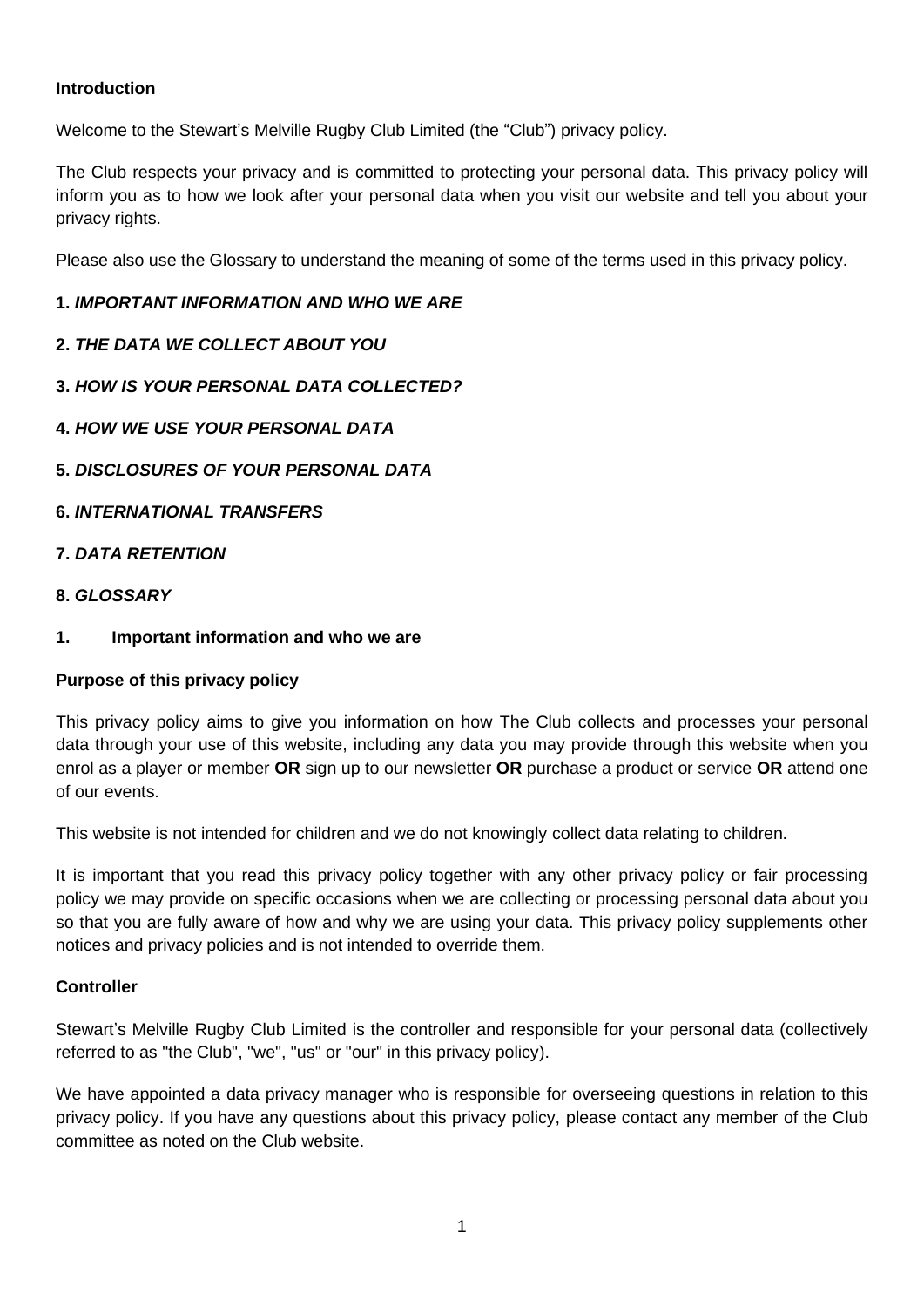### **Introduction**

Welcome to the Stewart's Melville Rugby Club Limited (the "Club") privacy policy.

The Club respects your privacy and is committed to protecting your personal data. This privacy policy will inform you as to how we look after your personal data when you visit our website and tell you about your privacy rights.

Please also use the Glossary to understand the meaning of some of the terms used in this privacy policy.

### **1.** *IMPORTANT INFORMATION AND WHO WE ARE*

- **2.** *THE DATA WE COLLECT ABOUT YOU*
- **3.** *HOW IS YOUR PERSONAL DATA COLLECTED?*
- **4.** *HOW WE USE YOUR PERSONAL DATA*
- **5.** *DISCLOSURES OF YOUR PERSONAL DATA*
- **6.** *INTERNATIONAL TRANSFERS*
- **7.** *DATA RETENTION*

#### **8.** *GLOSSARY*

**1. Important information and who we are**

#### **Purpose of this privacy policy**

This privacy policy aims to give you information on how The Club collects and processes your personal data through your use of this website, including any data you may provide through this website when you enrol as a player or member **OR** sign up to our newsletter **OR** purchase a product or service **OR** attend one of our events.

This website is not intended for children and we do not knowingly collect data relating to children.

It is important that you read this privacy policy together with any other privacy policy or fair processing policy we may provide on specific occasions when we are collecting or processing personal data about you so that you are fully aware of how and why we are using your data. This privacy policy supplements other notices and privacy policies and is not intended to override them.

#### **Controller**

Stewart's Melville Rugby Club Limited is the controller and responsible for your personal data (collectively referred to as "the Club", "we", "us" or "our" in this privacy policy).

We have appointed a data privacy manager who is responsible for overseeing questions in relation to this privacy policy. If you have any questions about this privacy policy, please contact any member of the Club committee as noted on the Club website.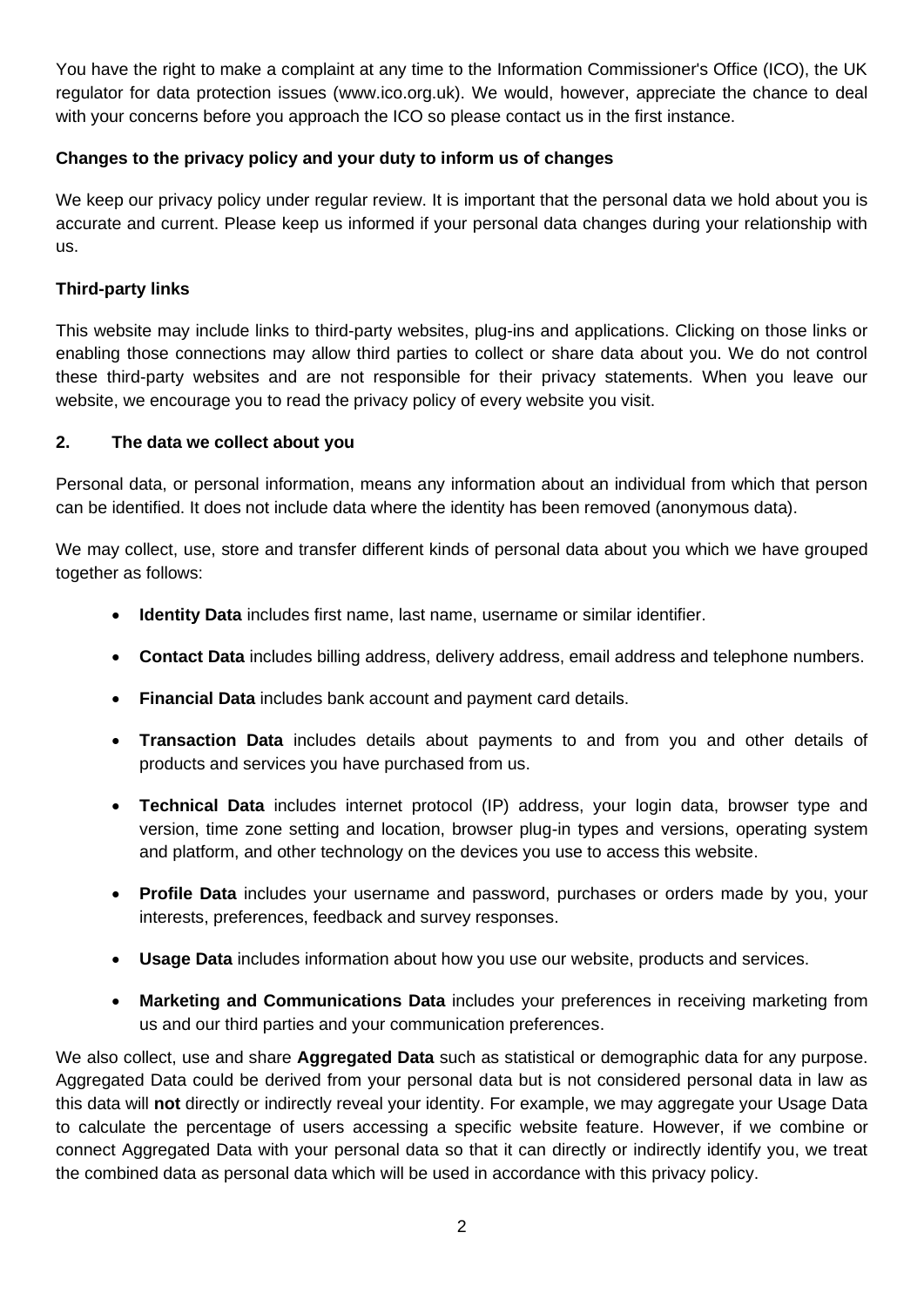You have the right to make a complaint at any time to the Information Commissioner's Office (ICO), the UK regulator for data protection issues (www.ico.org.uk). We would, however, appreciate the chance to deal with your concerns before you approach the ICO so please contact us in the first instance.

# **Changes to the privacy policy and your duty to inform us of changes**

We keep our privacy policy under regular review. It is important that the personal data we hold about you is accurate and current. Please keep us informed if your personal data changes during your relationship with us.

## **Third-party links**

This website may include links to third-party websites, plug-ins and applications. Clicking on those links or enabling those connections may allow third parties to collect or share data about you. We do not control these third-party websites and are not responsible for their privacy statements. When you leave our website, we encourage you to read the privacy policy of every website you visit.

## **2. The data we collect about you**

Personal data, or personal information, means any information about an individual from which that person can be identified. It does not include data where the identity has been removed (anonymous data).

We may collect, use, store and transfer different kinds of personal data about you which we have grouped together as follows:

- **Identity Data** includes first name, last name, username or similar identifier.
- **Contact Data** includes billing address, delivery address, email address and telephone numbers.
- **Financial Data** includes bank account and payment card details.
- **Transaction Data** includes details about payments to and from you and other details of products and services you have purchased from us.
- **Technical Data** includes internet protocol (IP) address, your login data, browser type and version, time zone setting and location, browser plug-in types and versions, operating system and platform, and other technology on the devices you use to access this website.
- **Profile Data** includes your username and password, purchases or orders made by you, your interests, preferences, feedback and survey responses.
- **Usage Data** includes information about how you use our website, products and services.
- **Marketing and Communications Data** includes your preferences in receiving marketing from us and our third parties and your communication preferences.

We also collect, use and share **Aggregated Data** such as statistical or demographic data for any purpose. Aggregated Data could be derived from your personal data but is not considered personal data in law as this data will **not** directly or indirectly reveal your identity. For example, we may aggregate your Usage Data to calculate the percentage of users accessing a specific website feature. However, if we combine or connect Aggregated Data with your personal data so that it can directly or indirectly identify you, we treat the combined data as personal data which will be used in accordance with this privacy policy.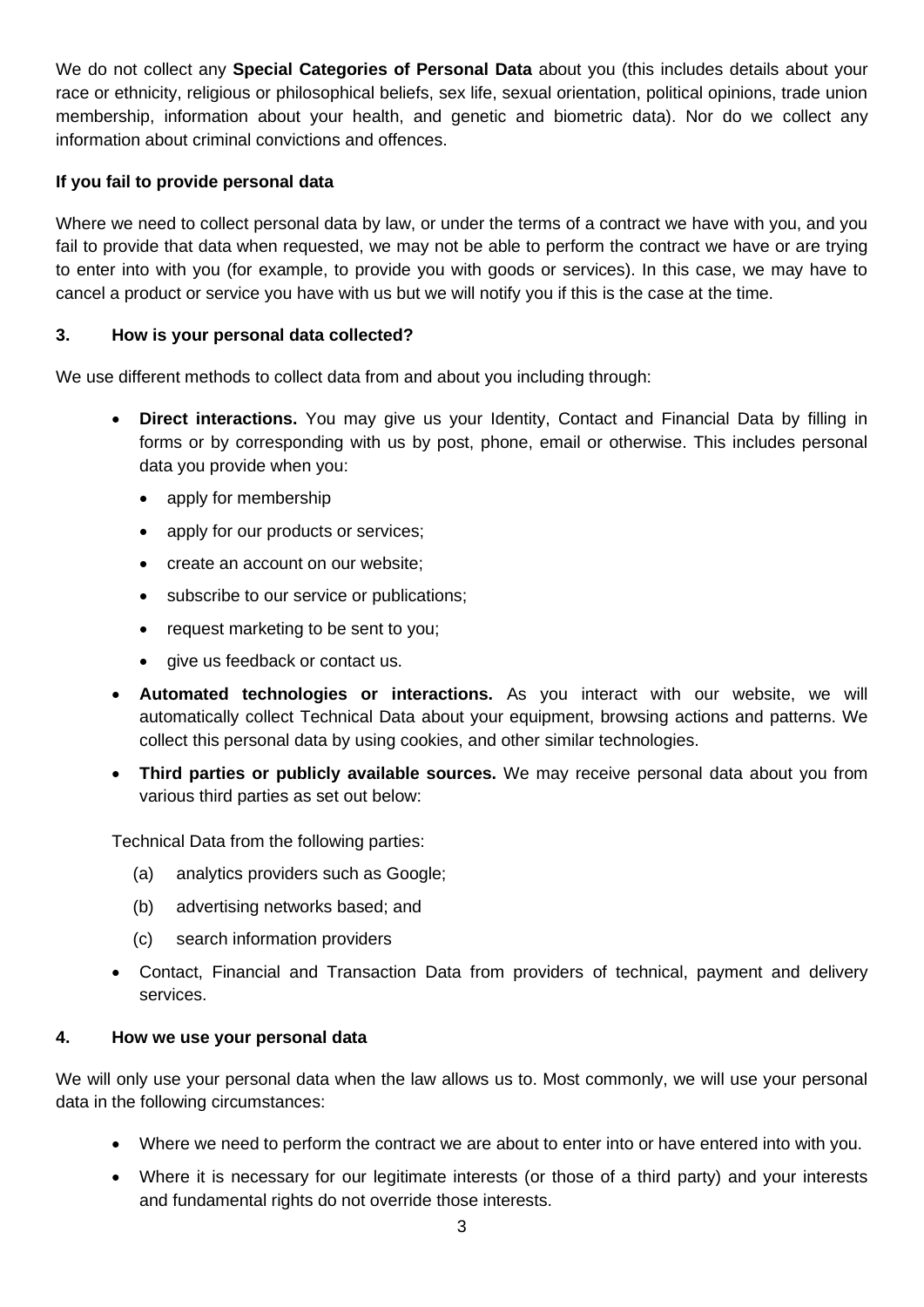We do not collect any **Special Categories of Personal Data** about you (this includes details about your race or ethnicity, religious or philosophical beliefs, sex life, sexual orientation, political opinions, trade union membership, information about your health, and genetic and biometric data). Nor do we collect any information about criminal convictions and offences.

# **If you fail to provide personal data**

Where we need to collect personal data by law, or under the terms of a contract we have with you, and you fail to provide that data when requested, we may not be able to perform the contract we have or are trying to enter into with you (for example, to provide you with goods or services). In this case, we may have to cancel a product or service you have with us but we will notify you if this is the case at the time.

### **3. How is your personal data collected?**

We use different methods to collect data from and about you including through:

- **Direct interactions.** You may give us your Identity, Contact and Financial Data by filling in forms or by corresponding with us by post, phone, email or otherwise. This includes personal data you provide when you:
	- apply for membership
	- apply for our products or services;
	- create an account on our website;
	- subscribe to our service or publications;
	- request marketing to be sent to you;
	- give us feedback or contact us.
- **Automated technologies or interactions.** As you interact with our website, we will automatically collect Technical Data about your equipment, browsing actions and patterns. We collect this personal data by using cookies, and other similar technologies.
- **Third parties or publicly available sources.** We may receive personal data about you from various third parties as set out below:

Technical Data from the following parties:

- (a) analytics providers such as Google;
- (b) advertising networks based; and
- (c) search information providers
- Contact, Financial and Transaction Data from providers of technical, payment and delivery services.

#### **4. How we use your personal data**

We will only use your personal data when the law allows us to. Most commonly, we will use your personal data in the following circumstances:

- Where we need to perform the contract we are about to enter into or have entered into with you.
- Where it is necessary for our legitimate interests (or those of a third party) and your interests and fundamental rights do not override those interests.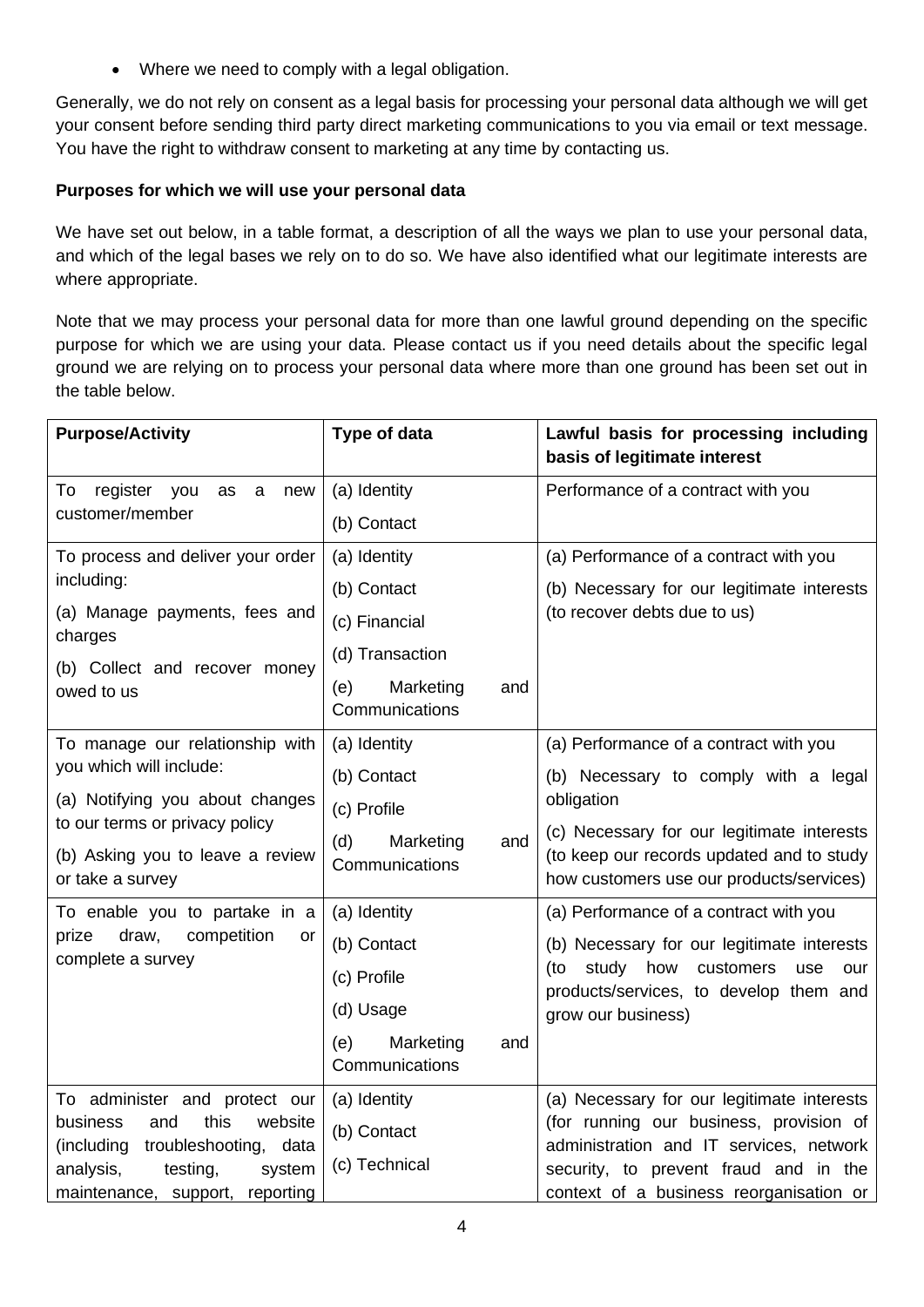• Where we need to comply with a legal obligation.

Generally, we do not rely on consent as a legal basis for processing your personal data although we will get your consent before sending third party direct marketing communications to you via email or text message. You have the right to withdraw consent to marketing at any time by contacting us.

## **Purposes for which we will use your personal data**

We have set out below, in a table format, a description of all the ways we plan to use your personal data, and which of the legal bases we rely on to do so. We have also identified what our legitimate interests are where appropriate.

Note that we may process your personal data for more than one lawful ground depending on the specific purpose for which we are using your data. Please contact us if you need details about the specific legal ground we are relying on to process your personal data where more than one ground has been set out in the table below.

| <b>Purpose/Activity</b>                                                                                       | Type of data                              | Lawful basis for processing including<br>basis of legitimate interest                                                               |
|---------------------------------------------------------------------------------------------------------------|-------------------------------------------|-------------------------------------------------------------------------------------------------------------------------------------|
| register<br>To<br>you<br>as<br>a<br>new                                                                       | (a) Identity                              | Performance of a contract with you                                                                                                  |
| customer/member                                                                                               | (b) Contact                               |                                                                                                                                     |
| To process and deliver your order<br>including:                                                               | (a) Identity                              | (a) Performance of a contract with you                                                                                              |
|                                                                                                               | (b) Contact                               | (b) Necessary for our legitimate interests                                                                                          |
| (a) Manage payments, fees and<br>charges                                                                      | (c) Financial                             | (to recover debts due to us)                                                                                                        |
| (b) Collect and recover money<br>owed to us                                                                   | (d) Transaction                           |                                                                                                                                     |
|                                                                                                               | Marketing<br>(e)<br>and<br>Communications |                                                                                                                                     |
| To manage our relationship with<br>you which will include:<br>(a) Notifying you about changes                 | (a) Identity                              | (a) Performance of a contract with you                                                                                              |
|                                                                                                               | (b) Contact                               | (b) Necessary to comply with a legal                                                                                                |
|                                                                                                               | (c) Profile                               | obligation                                                                                                                          |
| to our terms or privacy policy<br>(b) Asking you to leave a review<br>or take a survey                        | Marketing<br>(d)<br>and<br>Communications | (c) Necessary for our legitimate interests<br>(to keep our records updated and to study<br>how customers use our products/services) |
|                                                                                                               | (a) Identity                              | (a) Performance of a contract with you                                                                                              |
| To enable you to partake in a<br>competition<br>prize<br>draw,<br>or<br>complete a survey                     |                                           |                                                                                                                                     |
|                                                                                                               | (b) Contact                               | (b) Necessary for our legitimate interests<br>study<br>how<br>customers<br>(to<br>use<br>our                                        |
|                                                                                                               | (c) Profile                               | products/services, to develop them and                                                                                              |
|                                                                                                               | (d) Usage                                 | grow our business)                                                                                                                  |
|                                                                                                               | Marketing<br>(e)<br>and<br>Communications |                                                                                                                                     |
| To administer and protect our<br>this<br>business<br>website<br>and<br>troubleshooting,<br>(including<br>data | (a) Identity                              | (a) Necessary for our legitimate interests                                                                                          |
|                                                                                                               | (b) Contact                               | (for running our business, provision of<br>administration and IT services, network                                                  |
| analysis,<br>testing,<br>system                                                                               | (c) Technical                             | security, to prevent fraud and in the                                                                                               |
| maintenance, support, reporting                                                                               |                                           | context of a business reorganisation or                                                                                             |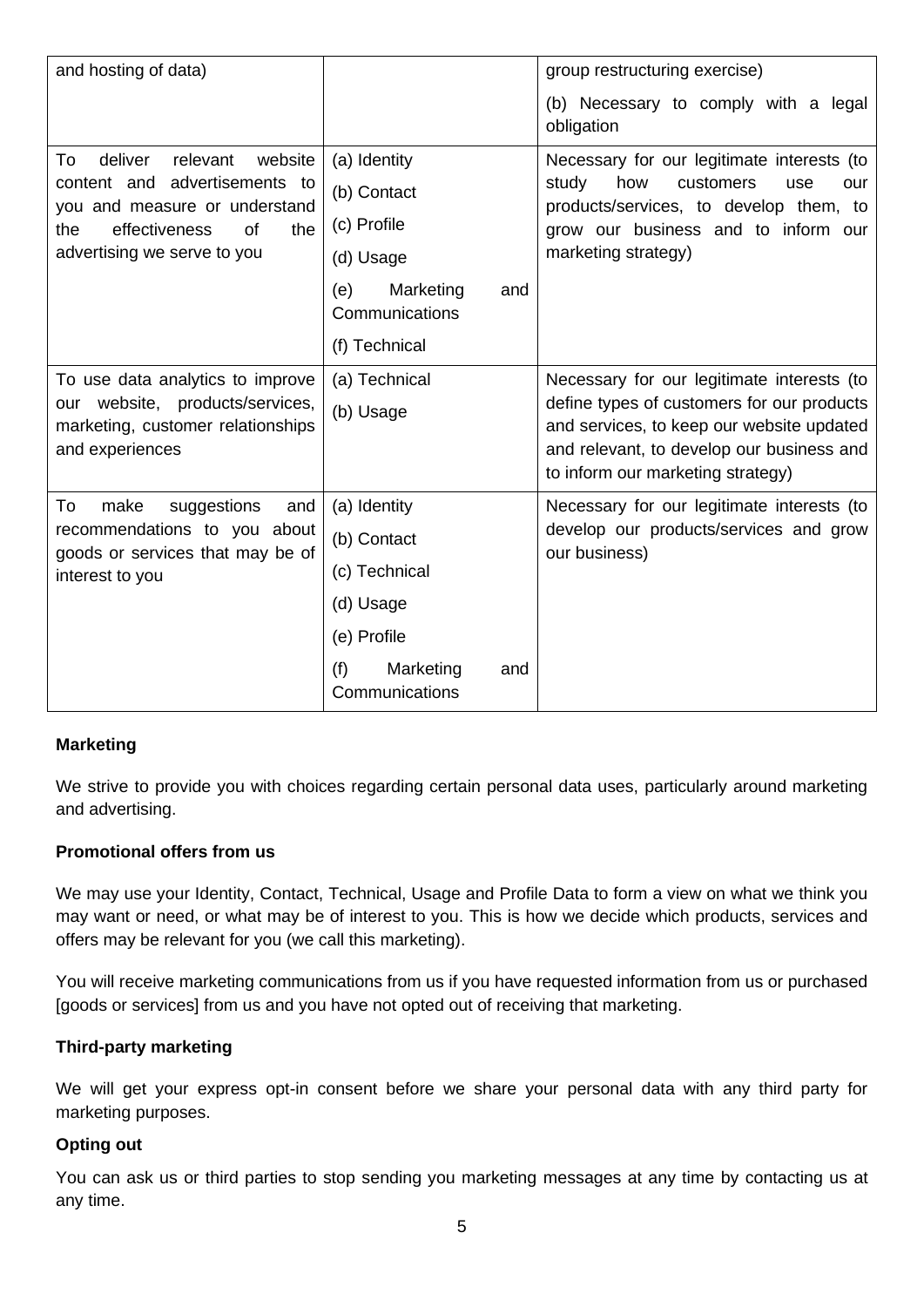| and hosting of data)                                                                                                                                                              |                                           | group restructuring exercise)                                                                                                                                                                 |
|-----------------------------------------------------------------------------------------------------------------------------------------------------------------------------------|-------------------------------------------|-----------------------------------------------------------------------------------------------------------------------------------------------------------------------------------------------|
|                                                                                                                                                                                   |                                           | (b) Necessary to comply with a legal<br>obligation                                                                                                                                            |
| deliver<br>relevant<br>website<br>To<br>content and advertisements to<br>you and measure or understand<br>effectiveness<br><b>of</b><br>the<br>the<br>advertising we serve to you | (a) Identity                              | Necessary for our legitimate interests (to<br>study<br>how<br>customers<br>use<br>our<br>products/services, to develop them, to<br>grow our business and to inform our<br>marketing strategy) |
|                                                                                                                                                                                   | (b) Contact                               |                                                                                                                                                                                               |
|                                                                                                                                                                                   | (c) Profile                               |                                                                                                                                                                                               |
|                                                                                                                                                                                   | (d) Usage                                 |                                                                                                                                                                                               |
|                                                                                                                                                                                   | (e)<br>Marketing<br>and<br>Communications |                                                                                                                                                                                               |
|                                                                                                                                                                                   | (f) Technical                             |                                                                                                                                                                                               |
| To use data analytics to improve                                                                                                                                                  | (a) Technical                             | Necessary for our legitimate interests (to                                                                                                                                                    |
| our website, products/services,<br>marketing, customer relationships<br>and experiences                                                                                           | (b) Usage                                 | define types of customers for our products<br>and services, to keep our website updated<br>and relevant, to develop our business and<br>to inform our marketing strategy)                     |
| make<br>suggestions<br>To<br>and<br>recommendations to you about<br>goods or services that may be of<br>interest to you                                                           | (a) Identity                              | Necessary for our legitimate interests (to<br>develop our products/services and grow<br>our business)                                                                                         |
|                                                                                                                                                                                   | (b) Contact                               |                                                                                                                                                                                               |
|                                                                                                                                                                                   | (c) Technical                             |                                                                                                                                                                                               |
|                                                                                                                                                                                   | (d) Usage                                 |                                                                                                                                                                                               |
|                                                                                                                                                                                   | (e) Profile                               |                                                                                                                                                                                               |
|                                                                                                                                                                                   | (f)<br>Marketing<br>and<br>Communications |                                                                                                                                                                                               |

#### **Marketing**

We strive to provide you with choices regarding certain personal data uses, particularly around marketing and advertising.

#### **Promotional offers from us**

We may use your Identity, Contact, Technical, Usage and Profile Data to form a view on what we think you may want or need, or what may be of interest to you. This is how we decide which products, services and offers may be relevant for you (we call this marketing).

You will receive marketing communications from us if you have requested information from us or purchased [goods or services] from us and you have not opted out of receiving that marketing.

#### **Third-party marketing**

We will get your express opt-in consent before we share your personal data with any third party for marketing purposes.

#### **Opting out**

You can ask us or third parties to stop sending you marketing messages at any time by contacting us at any time.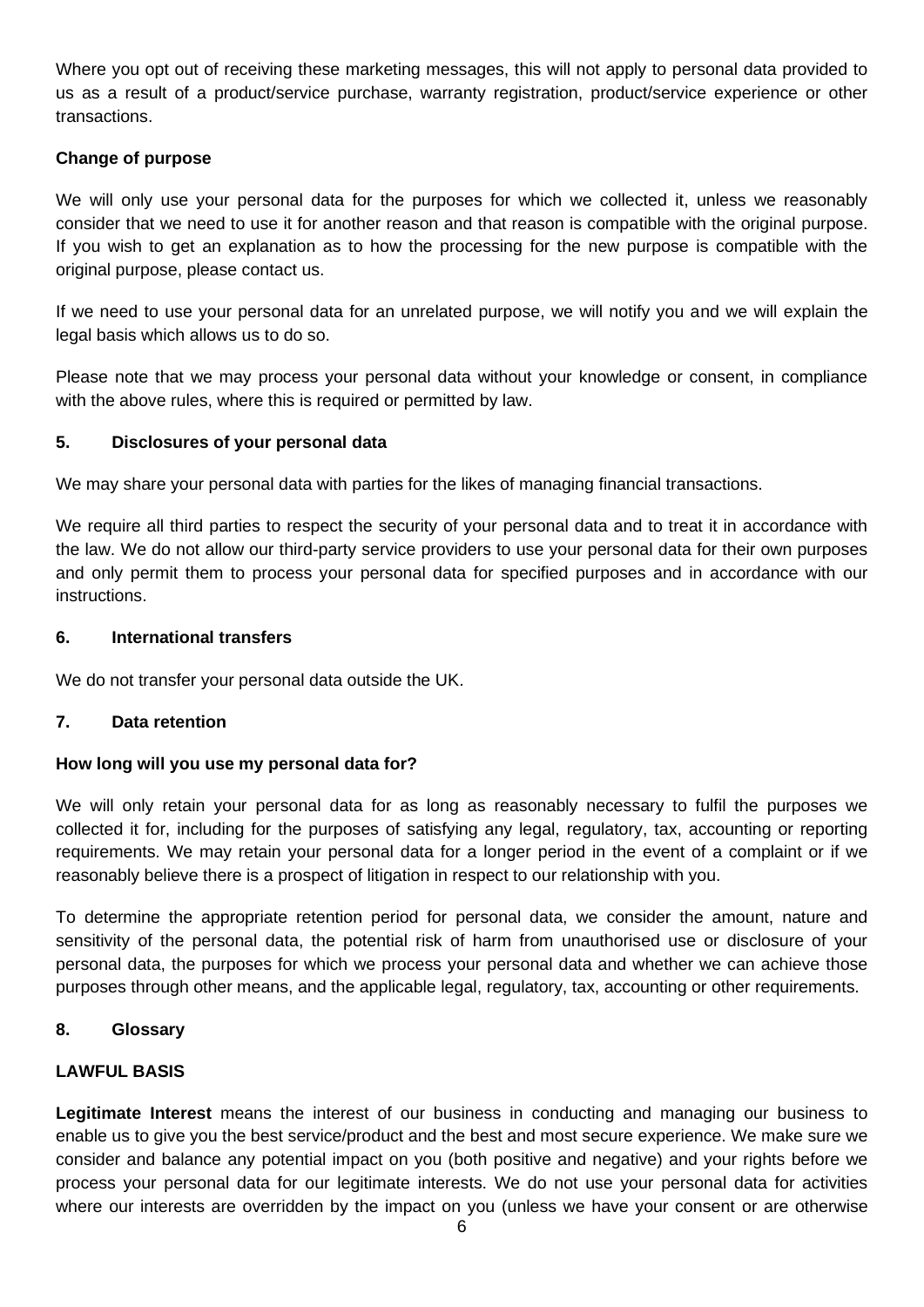Where you opt out of receiving these marketing messages, this will not apply to personal data provided to us as a result of a product/service purchase, warranty registration, product/service experience or other transactions.

### **Change of purpose**

We will only use your personal data for the purposes for which we collected it, unless we reasonably consider that we need to use it for another reason and that reason is compatible with the original purpose. If you wish to get an explanation as to how the processing for the new purpose is compatible with the original purpose, please contact us.

If we need to use your personal data for an unrelated purpose, we will notify you and we will explain the legal basis which allows us to do so.

Please note that we may process your personal data without your knowledge or consent, in compliance with the above rules, where this is required or permitted by law.

### **5. Disclosures of your personal data**

We may share your personal data with parties for the likes of managing financial transactions.

We require all third parties to respect the security of your personal data and to treat it in accordance with the law. We do not allow our third-party service providers to use your personal data for their own purposes and only permit them to process your personal data for specified purposes and in accordance with our instructions.

#### **6. International transfers**

We do not transfer your personal data outside the UK.

#### **7. Data retention**

#### **How long will you use my personal data for?**

We will only retain your personal data for as long as reasonably necessary to fulfil the purposes we collected it for, including for the purposes of satisfying any legal, regulatory, tax, accounting or reporting requirements. We may retain your personal data for a longer period in the event of a complaint or if we reasonably believe there is a prospect of litigation in respect to our relationship with you.

To determine the appropriate retention period for personal data, we consider the amount, nature and sensitivity of the personal data, the potential risk of harm from unauthorised use or disclosure of your personal data, the purposes for which we process your personal data and whether we can achieve those purposes through other means, and the applicable legal, regulatory, tax, accounting or other requirements.

#### **8. Glossary**

## **LAWFUL BASIS**

**Legitimate Interest** means the interest of our business in conducting and managing our business to enable us to give you the best service/product and the best and most secure experience. We make sure we consider and balance any potential impact on you (both positive and negative) and your rights before we process your personal data for our legitimate interests. We do not use your personal data for activities where our interests are overridden by the impact on you (unless we have your consent or are otherwise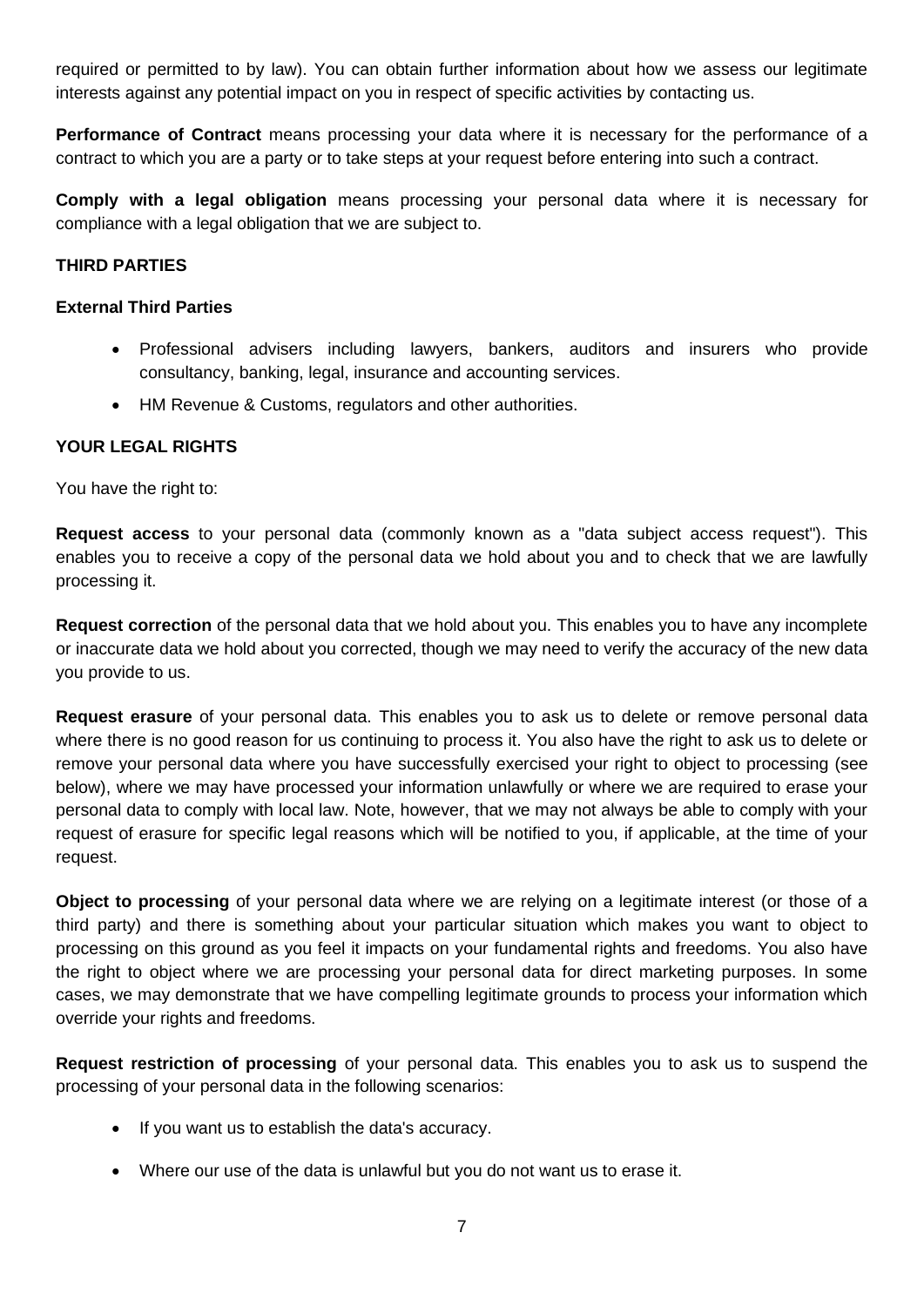required or permitted to by law). You can obtain further information about how we assess our legitimate interests against any potential impact on you in respect of specific activities by contacting us.

**Performance of Contract** means processing your data where it is necessary for the performance of a contract to which you are a party or to take steps at your request before entering into such a contract.

**Comply with a legal obligation** means processing your personal data where it is necessary for compliance with a legal obligation that we are subject to.

# **THIRD PARTIES**

### **External Third Parties**

- Professional advisers including lawyers, bankers, auditors and insurers who provide consultancy, banking, legal, insurance and accounting services.
- HM Revenue & Customs, regulators and other authorities.

### **YOUR LEGAL RIGHTS**

You have the right to:

**Request access** to your personal data (commonly known as a "data subject access request"). This enables you to receive a copy of the personal data we hold about you and to check that we are lawfully processing it.

**Request correction** of the personal data that we hold about you. This enables you to have any incomplete or inaccurate data we hold about you corrected, though we may need to verify the accuracy of the new data you provide to us.

**Request erasure** of your personal data. This enables you to ask us to delete or remove personal data where there is no good reason for us continuing to process it. You also have the right to ask us to delete or remove your personal data where you have successfully exercised your right to object to processing (see below), where we may have processed your information unlawfully or where we are required to erase your personal data to comply with local law. Note, however, that we may not always be able to comply with your request of erasure for specific legal reasons which will be notified to you, if applicable, at the time of your request.

**Object to processing** of your personal data where we are relying on a legitimate interest (or those of a third party) and there is something about your particular situation which makes you want to object to processing on this ground as you feel it impacts on your fundamental rights and freedoms. You also have the right to object where we are processing your personal data for direct marketing purposes. In some cases, we may demonstrate that we have compelling legitimate grounds to process your information which override your rights and freedoms.

**Request restriction of processing** of your personal data. This enables you to ask us to suspend the processing of your personal data in the following scenarios:

- If you want us to establish the data's accuracy.
- Where our use of the data is unlawful but you do not want us to erase it.